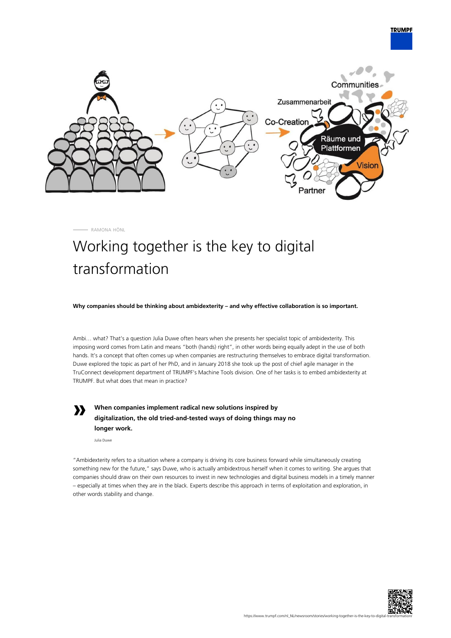

RAMONA HÖNL

## Working together is the key to digital transformation

**Why companies should be thinking about ambidexterity – and why effective collaboration is so important.**

Ambi… what? That's a question Julia Duwe often hears when she presents her specialist topic of ambidexterity. This imposing word comes from Latin and means "both (hands) right", in other words being equally adept in the use of both hands. It's a concept that often comes up when companies are restructuring themselves to embrace digital transformation. Duwe explored the topic as part of her PhD, and in January 2018 she took up the post of chief agile manager in the TruConnect development department of TRUMPF's Machine Tools division. One of her tasks is to embed ambidexterity at TRUMPF. But what does that mean in practice?

**»**

**When companies implement radical new solutions inspired by digitalization, the old tried-and-tested ways of doing things may no longer work.**

Julia Duwe

"Ambidexterity refers to a situation where a company is driving its core business forward while simultaneously creating something new for the future," says Duwe, who is actually ambidextrous herself when it comes to writing. She argues that companies should draw on their own resources to invest in new technologies and digital business models in a timely manner – especially at times when they are in the black. Experts describe this approach in terms of exploitation and exploration, in other words stability and change.



**TRUMPF**